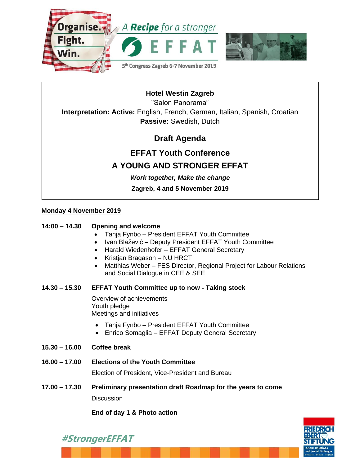



## **Hotel Westin Zagreb**

"Salon Panorama"

**Interpretation: Active:** English, French, German, Italian, Spanish, Croatian **Passive:** Swedish, Dutch

## **Draft Agenda**

# **EFFAT Youth Conference A YOUNG AND STRONGER EFFAT**

*Work together, Make the change*

**Zagreb, 4 and 5 November 2019**

### **Monday 4 November 2019**

### **14:00 – 14.30 Opening and welcome**

- Tanja Fynbo President EFFAT Youth Committee
- Ivan Blažević Deputy President EFFAT Youth Committee
- Harald Wiedenhofer EFFAT General Secretary
- Kristjan Bragason NU HRCT
- Matthias Weber FES Director, Regional Project for Labour Relations and Social Dialogue in CEE & SEE

### **14.30 – 15.30 EFFAT Youth Committee up to now - Taking stock**

Overview of achievements Youth pledge Meetings and initiatives

- Tanja Fynbo President EFFAT Youth Committee
- Enrico Somaglia EFFAT Deputy General Secretary
- **15.30 – 16.00 Coffee break**

**#StrongerEFFAT**

**16.00 – 17.00 Elections of the Youth Committee**

Election of President, Vice-President and Bureau

**17.00 – 17.30 Preliminary presentation draft Roadmap for the years to come Discussion** 

**End of day 1 & Photo action**